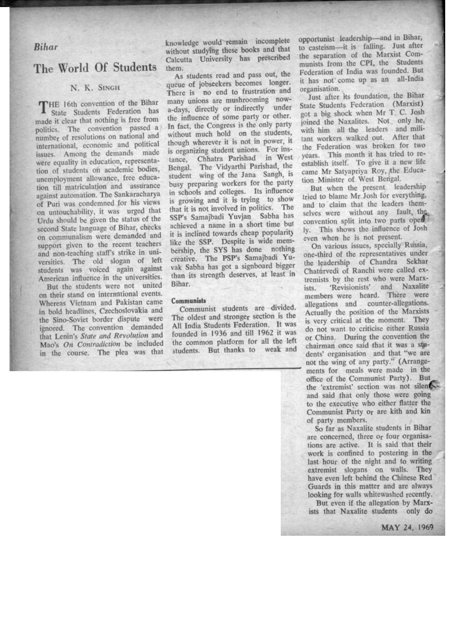*Bihar*

## The World Of Students

## N. K. SINGH

THE 16th convention of the Bihar State Students Federation has made it clear that nothing is free from politics. The convention passed a number of resolutions on national and international, economic and political issues. Among the demands made were equality in education, representation of students 06 academic bodies, unemployment allowance, free education till matriculation and assurance against automation. The Sankaracharya of Puri was condemned for his views on untouchability, it was urged that Urdu should be given the status of the second State language of Bihar, checks on communalism were demanded and support given to the recent teachers and non-teaching staff's strike in universities. The old slogan of left students was voiced again against American influence in the universities.

But the students were not united on their stand on international events. Whereas Vietnam and Pakistan came in bold headlines, Czechoslovakia and the Sino-Soviet border dispute were ignored. The convention demanded that Lenin's *State and Revolution* and Mao's *On Contradiction* be included in the course. The plea was that

knowledge would remain incomplete without studying these books and that Calcutta University has prescribed them.

As students read and pass out, the queue of jobseekers becomes longer. There is no end to frustration and many unions are mushrooming nowa-days, directly or indirectly under the influence of some party or other. In fact, the Congress is the only party without much hold on the students, though wherever it is not in power, it is organizing student unions. For instance, Chhatra Parishad in West Bengal. The Vidyarthi Parishad, the student wing of the Jana Sangh, is busy preparing workers for the party in schools and colleges. Its influence is growing and it is trying to show that it is not involved in politics. The SSP's Samajbadi Yuvjan Sabha has achieved a name in a short time but it is inclined towards cheap popularity like the SSP. Despite is wide membership, the SYS has done nothing creative. The PSP's Samajbadi Yuvak Sabha has got a signboard bigger than its strength deserves, at least in' Bihar:

## Communists

Communist students are divided. The oldest and stronger section is the All India Students Federation. It was founded in 1936 and till 1962 it was the common platform for all the left students. But thanks to weak and

opportunist leadership-and in Bihar, to casteism-it is falling. Just after the separation of the Marxist Communists from the CPI, the Students Federation of India was founded. But it has not' come up as an all-India organisation.

Just after its foundation, the Bihar State Students Federation (Marxist) got a big shock when Mr T. C. Josh joined the Naxalites. Not only he,' with him all the leaders and militant workers walked out. After that the Federation was broken for two years. This month it has tried to reestablish itself. To give it a new life came Mr Satyapriya Roy, the Education Minister of West Bengal.

But when the present leadership tried to blame Mr Josh for everything, and to claim that the leaders themselves were without any fault, the convention split into two parts open ly. This shows the influence of Josh even when he is not present.

On various issues, specially Russia, one-third of the representatives under the leadership of Chandra Sekhar Chatúrvedi of Ranchi were called extremists by the rest who were Marxists. 'Revisionists' and Naxalite members were heard. There were allegations and counter-allegations. Actually the position of the Marxists is very critical at the moment. They do not want to criticise either Russia or China. During the convention the chairman' once said that it was a students' organisation and that "we are not the wing of any party." (Arrangements for meals were made in the office of the Communist Party). But the 'extremist' section was not silen and said that only those were going to the executive who either flatter the Communist Party o<sub>r</sub> are kith and kin<br>of party members.

So far as Naxalite students in Bihar are concerned, three or four organisations are active. It is said that their work is confined to postering in the last hour of the night and to writing extremist slogans on walls. They have even left behind the Chinese Red Guards in this matter and are always looking for walls whitewashed recently.

But even if the allegation by Marxists that Naxalite students only do